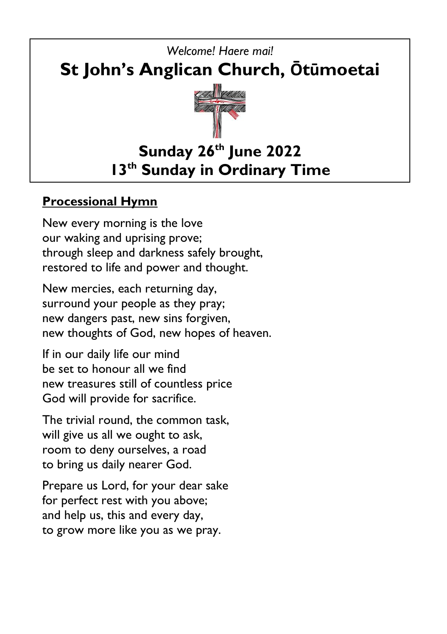

### **Processional Hymn**

New every morning is the love our waking and uprising prove; through sleep and darkness safely brought, restored to life and power and thought.

New mercies, each returning day, surround your people as they pray; new dangers past, new sins forgiven, new thoughts of God, new hopes of heaven.

If in our daily life our mind be set to honour all we find new treasures still of countless price God will provide for sacrifice.

The trivial round, the common task, will give us all we ought to ask, room to deny ourselves, a road to bring us daily nearer God.

Prepare us Lord, for your dear sake for perfect rest with you above; and help us, this and every day, to grow more like you as we pray.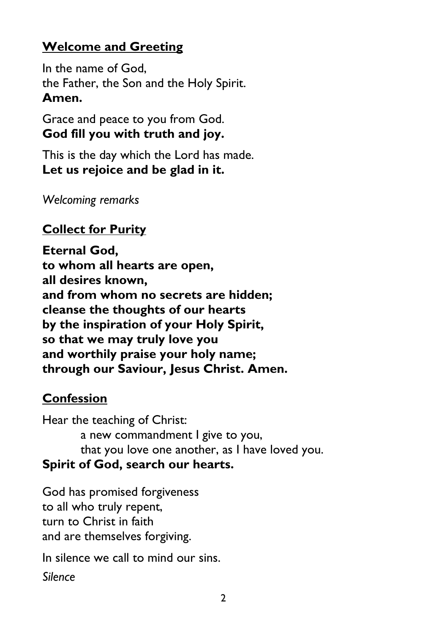## **Welcome and Greeting**

In the name of God, the Father, the Son and the Holy Spirit. **Amen.**

Grace and peace to you from God. **God fill you with truth and joy.**

This is the day which the Lord has made. **Let us rejoice and be glad in it.**

*Welcoming remarks*

## **Collect for Purity**

**Eternal God, to whom all hearts are open, all desires known, and from whom no secrets are hidden; cleanse the thoughts of our hearts by the inspiration of your Holy Spirit, so that we may truly love you and worthily praise your holy name; through our Saviour, Jesus Christ. Amen.**

### **Confession**

Hear the teaching of Christ: a new commandment I give to you, that you love one another, as I have loved you. **Spirit of God, search our hearts.**

God has promised forgiveness to all who truly repent, turn to Christ in faith and are themselves forgiving.

In silence we call to mind our sins.

*Silence*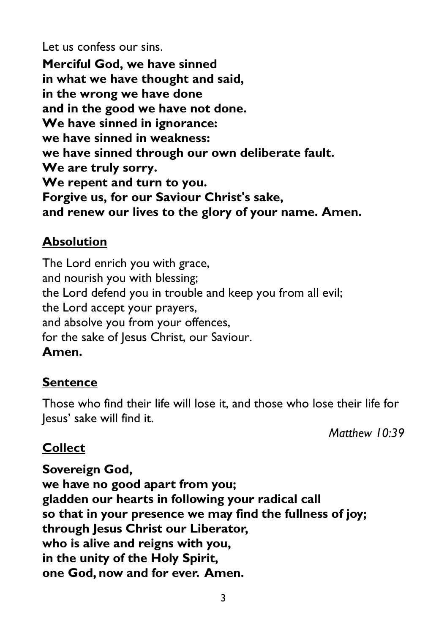Let us confess our sins. **Merciful God, we have sinned in what we have thought and said, in the wrong we have done and in the good we have not done. We have sinned in ignorance: we have sinned in weakness: we have sinned through our own deliberate fault. We are truly sorry. We repent and turn to you. Forgive us, for our Saviour Christ's sake, and renew our lives to the glory of your name. Amen.**

### **Absolution**

The Lord enrich you with grace, and nourish you with blessing; the Lord defend you in trouble and keep you from all evil; the Lord accept your prayers, and absolve you from your offences, for the sake of Jesus Christ, our Saviour. **Amen.**

### **Sentence**

Those who find their life will lose it, and those who lose their life for Jesus' sake will find it.

*Matthew 10:39*

### **Collect**

**Sovereign God, we have no good apart from you; gladden our hearts in following your radical call so that in your presence we may find the fullness of joy; through Jesus Christ our Liberator, who is alive and reigns with you, in the unity of the Holy Spirit, one God, now and for ever. Amen.**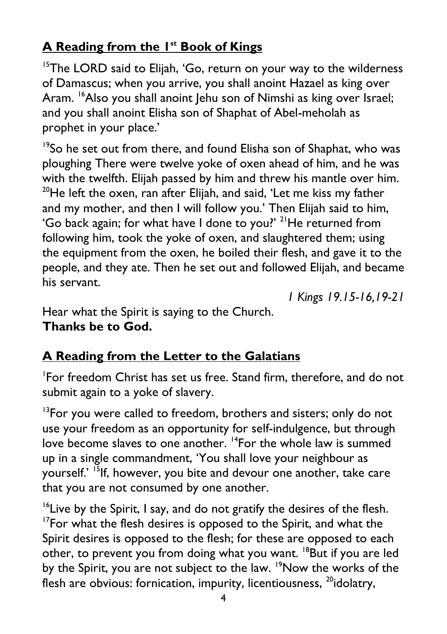# **A Reading from the 1 st Book of Kings**

<sup>15</sup>The LORD said to Elijah, 'Go, return on your way to the wilderness of Damascus; when you arrive, you shall anoint Hazael as king over Aram. <sup>16</sup>Also you shall anoint Jehu son of Nimshi as king over Israel; and you shall anoint Elisha son of Shaphat of Abel-meholah as prophet in your place.'

<sup>19</sup>So he set out from there, and found Elisha son of Shaphat, who was ploughing There were twelve yoke of oxen ahead of him, and he was with the twelfth. Elijah passed by him and threw his mantle over him.  $20$ He left the oxen, ran after Elijah, and said, 'Let me kiss my father and my mother, and then I will follow you.' Then Elijah said to him, 'Go back again; for what have I done to you?' <sup>21</sup>He returned from following him, took the yoke of oxen, and slaughtered them; using the equipment from the oxen, he boiled their flesh, and gave it to the people, and they ate. Then he set out and followed Elijah, and became his servant.

*1 Kings 19.15-16,19-21*

Hear what the Spirit is saying to the Church. **Thanks be to God.**

# **A Reading from the Letter to the Galatians**

1 For freedom Christ has set us free. Stand firm, therefore, and do not submit again to a yoke of slavery.

 $13$ For you were called to freedom, brothers and sisters; only do not use your freedom as an opportunity for self-indulgence, but through love become slaves to one another. <sup>14</sup>For the whole law is summed up in a single commandment, 'You shall love your neighbour as yourself.' <sup>15</sup>If, however, you bite and devour one another, take care that you are not consumed by one another.

 $16$ Live by the Spirit, I say, and do not gratify the desires of the flesh.  $17$ For what the flesh desires is opposed to the Spirit, and what the Spirit desires is opposed to the flesh; for these are opposed to each other, to prevent you from doing what you want. <sup>18</sup>But if you are led by the Spirit, you are not subject to the law. <sup>19</sup>Now the works of the flesh are obvious: fornication, impurity, licentiousness,  $^{20}$ idolatry,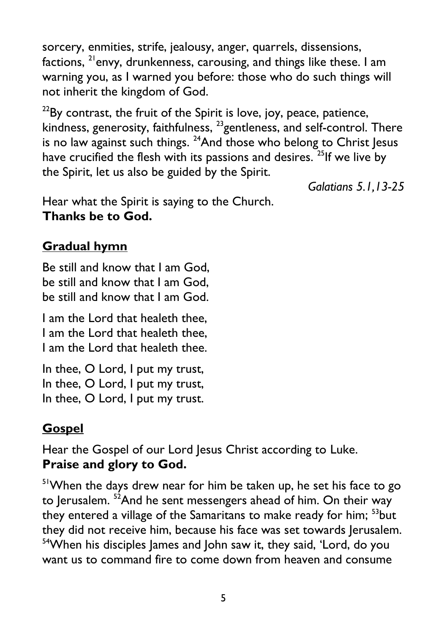sorcery, enmities, strife, jealousy, anger, quarrels, dissensions, factions,  $^{21}$ envy, drunkenness, carousing, and things like these. I am warning you, as I warned you before: those who do such things will not inherit the kingdom of God.

 $22$ By contrast, the fruit of the Spirit is love, joy, peace, patience, kindness, generosity, faithfulness, <sup>23</sup>gentleness, and self-control. There is no law against such things.  $^{24}$ And those who belong to Christ Jesus have crucified the flesh with its passions and desires. <sup>25</sup>If we live by the Spirit, let us also be guided by the Spirit.

*Galatians 5.1,13-25*

Hear what the Spirit is saying to the Church. **Thanks be to God.**

## **Gradual hymn**

Be still and know that I am God, be still and know that I am God, be still and know that I am God.

I am the Lord that healeth thee, I am the Lord that healeth thee, I am the Lord that healeth thee.

In thee, O Lord, I put my trust, In thee, O Lord, I put my trust, In thee, O Lord, I put my trust.

## **Gospel**

Hear the Gospel of our Lord Jesus Christ according to Luke. **Praise and glory to God.**

<sup>51</sup>When the days drew near for him be taken up, he set his face to go to Jerusalem. <sup>52</sup>And he sent messengers ahead of him. On their way they entered a village of the Samaritans to make ready for him; <sup>53</sup>but they did not receive him, because his face was set towards Jerusalem. <sup>54</sup>When his disciples James and John saw it, they said, 'Lord, do you want us to command fire to come down from heaven and consume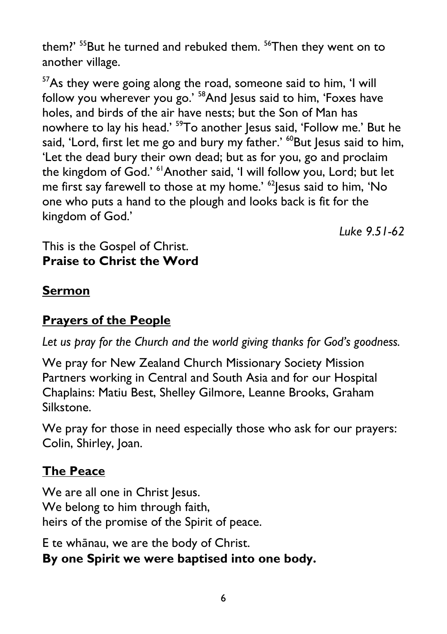them?' <sup>55</sup>But he turned and rebuked them. <sup>56</sup>Then they went on to another village.

<sup>57</sup>As they were going along the road, someone said to him, 'I will follow you wherever you go.' <sup>58</sup>And Jesus said to him, 'Foxes have holes, and birds of the air have nests; but the Son of Man has nowhere to lay his head.' <sup>59</sup>To another Jesus said, 'Follow me.' But he said, 'Lord, first let me go and bury my father.' <sup>60</sup>But Jesus said to him, 'Let the dead bury their own dead; but as for you, go and proclaim the kingdom of God.' <sup>61</sup>Another said, 'I will follow you, Lord; but let me first say farewell to those at my home.' <sup>62</sup> Jesus said to him, 'No one who puts a hand to the plough and looks back is fit for the kingdom of God.'

*Luke 9.51-62*

#### This is the Gospel of Christ. **Praise to Christ the Word**

#### **Sermon**

## **Prayers of the People**

Let us pray for the Church and the world giving thanks for God's goodness.

We pray for New Zealand Church Missionary Society Mission Partners working in Central and South Asia and for our Hospital Chaplains: Matiu Best, Shelley Gilmore, Leanne Brooks, Graham Silkstone.

We pray for those in need especially those who ask for our prayers: Colin, Shirley, Joan.

### **The Peace**

We are all one in Christ Jesus. We belong to him through faith, heirs of the promise of the Spirit of peace.

E te whānau, we are the body of Christ.

### **By one Spirit we were baptised into one body.**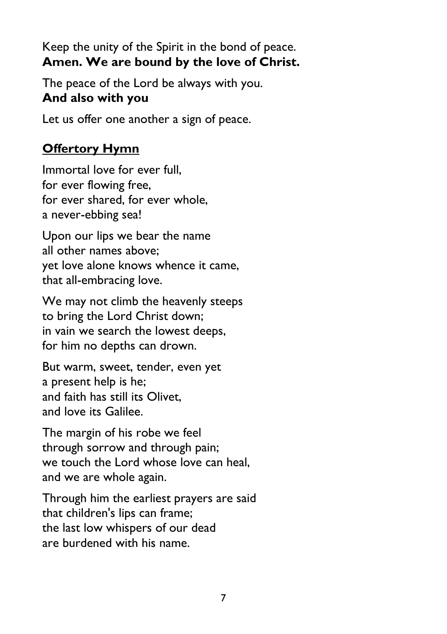Keep the unity of the Spirit in the bond of peace. **Amen. We are bound by the love of Christ.**

The peace of the Lord be always with you. **And also with you**

Let us offer one another a sign of peace.

## **Offertory Hymn**

Immortal love for ever full, for ever flowing free, for ever shared, for ever whole, a never-ebbing sea!

Upon our lips we bear the name all other names above; yet love alone knows whence it came, that all-embracing love.

We may not climb the heavenly steeps to bring the Lord Christ down; in vain we search the lowest deeps, for him no depths can drown.

But warm, sweet, tender, even yet a present help is he; and faith has still its Olivet, and love its Galilee.

The margin of his robe we feel through sorrow and through pain; we touch the Lord whose love can heal, and we are whole again.

Through him the earliest prayers are said that children's lips can frame; the last low whispers of our dead are burdened with his name.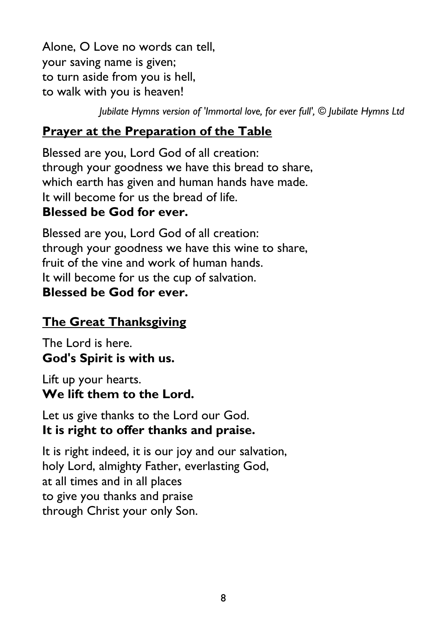Alone, O Love no words can tell, your saving name is given; to turn aside from you is hell, to walk with you is heaven!

*Jubilate Hymns version of 'Immortal love, for ever full', © Jubilate Hymns Ltd*

# **Prayer at the Preparation of the Table**

Blessed are you, Lord God of all creation: through your goodness we have this bread to share, which earth has given and human hands have made. It will become for us the bread of life. **Blessed be God for ever.**

Blessed are you, Lord God of all creation: through your goodness we have this wine to share, fruit of the vine and work of human hands. It will become for us the cup of salvation. **Blessed be God for ever.**

## **The Great Thanksgiving**

The Lord is here. **God's Spirit is with us.**

Lift up your hearts. **We lift them to the Lord.**

Let us give thanks to the Lord our God. **It is right to offer thanks and praise.**

It is right indeed, it is our joy and our salvation, holy Lord, almighty Father, everlasting God, at all times and in all places to give you thanks and praise through Christ your only Son.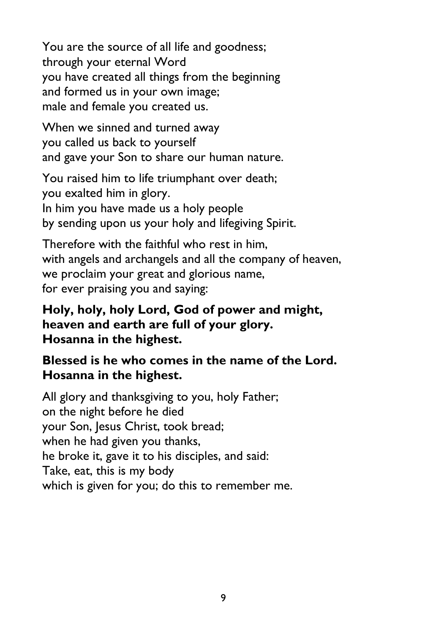You are the source of all life and goodness; through your eternal Word you have created all things from the beginning and formed us in your own image; male and female you created us.

When we sinned and turned away you called us back to yourself and gave your Son to share our human nature.

You raised him to life triumphant over death; you exalted him in glory. In him you have made us a holy people by sending upon us your holy and lifegiving Spirit.

Therefore with the faithful who rest in him, with angels and archangels and all the company of heaven, we proclaim your great and glorious name, for ever praising you and saying:

#### **Holy, holy, holy Lord, God of power and might, heaven and earth are full of your glory. Hosanna in the highest.**

#### **Blessed is he who comes in the name of the Lord. Hosanna in the highest.**

All glory and thanksgiving to you, holy Father; on the night before he died your Son, Jesus Christ, took bread; when he had given you thanks, he broke it, gave it to his disciples, and said: Take, eat, this is my body which is given for you; do this to remember me.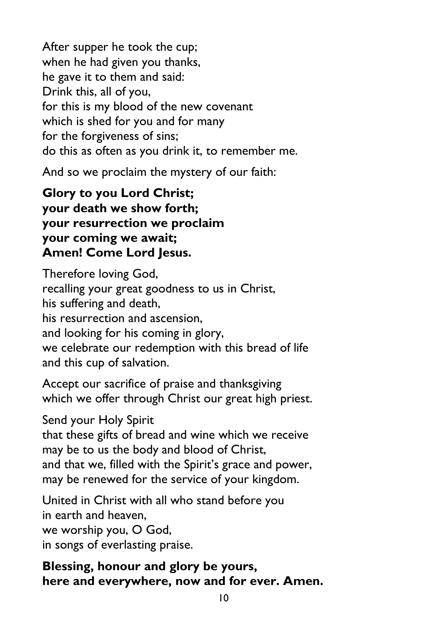After supper he took the cup; when he had given you thanks, he gave it to them and said: Drink this, all of you, for this is my blood of the new covenant which is shed for you and for many for the forgiveness of sins; do this as often as you drink it, to remember me.

And so we proclaim the mystery of our faith:

**Glory to you Lord Christ; your death we show forth; your resurrection we proclaim your coming we await; Amen! Come Lord Jesus.**

Therefore loving God, recalling your great goodness to us in Christ, his suffering and death, his resurrection and ascension, and looking for his coming in glory, we celebrate our redemption with this bread of life and this cup of salvation.

Accept our sacrifice of praise and thanksgiving which we offer through Christ our great high priest.

Send your Holy Spirit

that these gifts of bread and wine which we receive may be to us the body and blood of Christ, and that we, filled with the Spirit's grace and power, may be renewed for the service of your kingdom.

United in Christ with all who stand before you in earth and heaven, we worship you, O God, in songs of everlasting praise.

**Blessing, honour and glory be yours, here and everywhere, now and for ever. Amen.**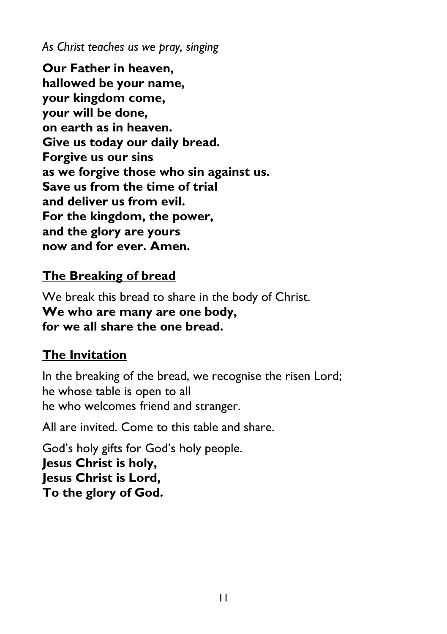*As Christ teaches us we pray, singing*

**Our Father in heaven, hallowed be your name, your kingdom come, your will be done, on earth as in heaven. Give us today our daily bread. Forgive us our sins as we forgive those who sin against us. Save us from the time of trial and deliver us from evil. For the kingdom, the power, and the glory are yours now and for ever. Amen.**

### **The Breaking of bread**

We break this bread to share in the body of Christ. **We who are many are one body, for we all share the one bread.** 

### **The Invitation**

In the breaking of the bread, we recognise the risen Lord; he whose table is open to all he who welcomes friend and stranger.

All are invited. Come to this table and share.

God's holy gifts for God's holy people. **Jesus Christ is holy, Jesus Christ is Lord, To the glory of God.**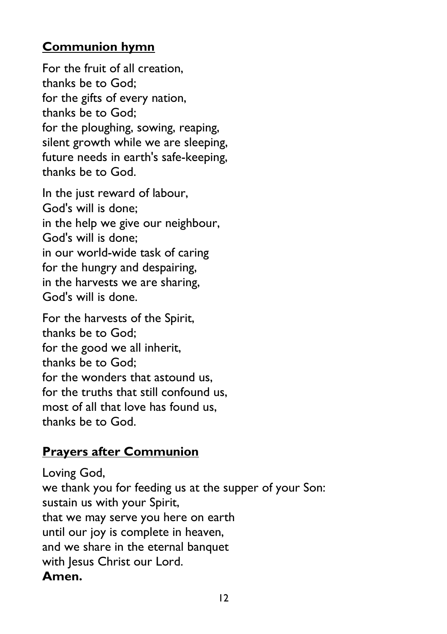#### **Communion hymn**

For the fruit of all creation, thanks be to God; for the gifts of every nation, thanks be to God; for the ploughing, sowing, reaping, silent growth while we are sleeping, future needs in earth's safe-keeping, thanks be to God.

In the just reward of labour, God's will is done; in the help we give our neighbour, God's will is done; in our world-wide task of caring for the hungry and despairing, in the harvests we are sharing, God's will is done.

For the harvests of the Spirit, thanks be to God; for the good we all inherit, thanks be to God; for the wonders that astound us, for the truths that still confound us, most of all that love has found us, thanks be to God.

#### **Prayers after Communion**

Loving God, we thank you for feeding us at the supper of your Son: sustain us with your Spirit, that we may serve you here on earth until our joy is complete in heaven, and we share in the eternal banquet with Jesus Christ our Lord. **Amen.**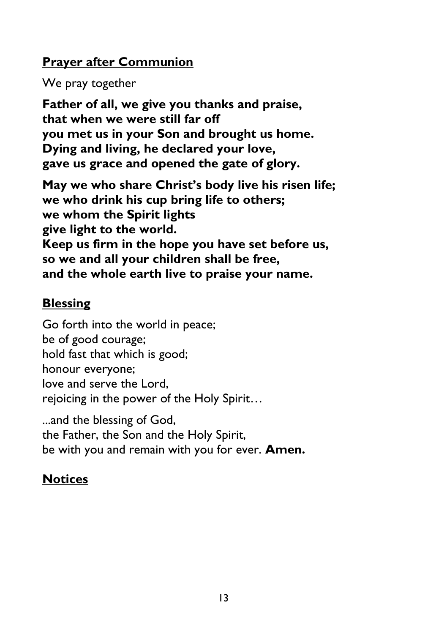#### **Prayer after Communion**

We pray together

**Father of all, we give you thanks and praise, that when we were still far off you met us in your Son and brought us home. Dying and living, he declared your love, gave us grace and opened the gate of glory.**

**May we who share Christ's body live his risen life; we who drink his cup bring life to others; we whom the Spirit lights give light to the world. Keep us firm in the hope you have set before us, so we and all your children shall be free, and the whole earth live to praise your name.**

### **Blessing**

Go forth into the world in peace; be of good courage; hold fast that which is good; honour everyone; love and serve the Lord, rejoicing in the power of the Holy Spirit…

...and the blessing of God, the Father, the Son and the Holy Spirit, be with you and remain with you for ever. **Amen.**

## **Notices**